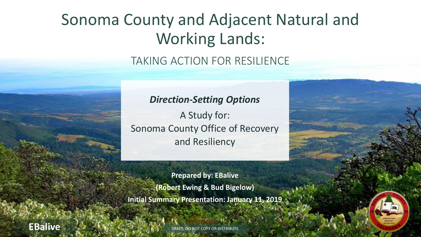## Sonoma County and Adjacent Natural and Working Lands:

### TAKING ACTION FOR RESILIENCE

### *Direction-Setting Options*

A Study for: Sonoma County Office of Recovery and Resiliency

**Prepared by: EBalive (Robert Ewing & Bud Bigelow) Initial Summary Presentation: January 11, 2019**

DRAFT: DO NOT COPY OR DISTRIBUTE



**EBalive**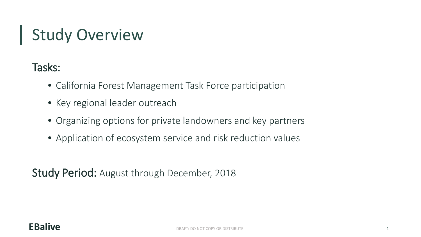## Study Overview

## Tasks:

- California Forest Management Task Force participation
- Key regional leader outreach
- Organizing options for private landowners and key partners
- Application of ecosystem service and risk reduction values

Study Period: August through December, 2018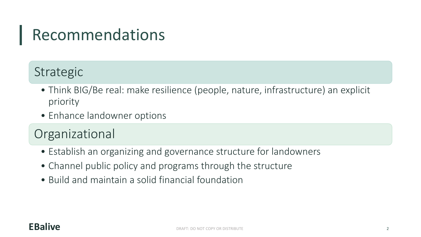## Recommendations

## Strategic

- Think BIG/Be real: make resilience (people, nature, infrastructure) an explicit priority
- Enhance landowner options

## Organizational

- Establish an organizing and governance structure for landowners
- Channel public policy and programs through the structure
- Build and maintain a solid financial foundation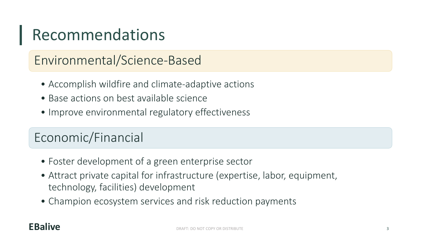## Recommendations

## Environmental/Science-Based

- Accomplish wildfire and climate-adaptive actions
- Base actions on best available science
- Improve environmental regulatory effectiveness

## Economic/Financial

- Foster development of a green enterprise sector
- Attract private capital for infrastructure (expertise, labor, equipment, technology, facilities) development
- Champion ecosystem services and risk reduction payments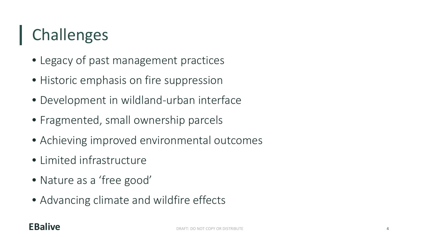# Challenges

- Legacy of past management practices
- Historic emphasis on fire suppression
- Development in wildland-urban interface
- Fragmented, small ownership parcels
- Achieving improved environmental outcomes
- Limited infrastructure
- Nature as a 'free good'
- Advancing climate and wildfire effects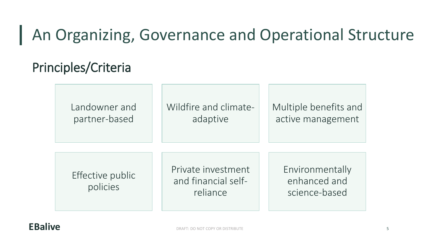## An Organizing, Governance and Operational Structure

## Principles/Criteria

Landowner and  $\parallel$  Wildfire and climate-  $\parallel$  Multiple benefits and partner-based | adaptive | active management

Effective public policies

Private investment and financial selfreliance

Environmentally enhanced and science-based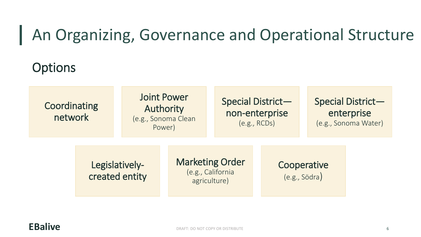## An Organizing, Governance and Operational Structure

## **Options**

# Joint Power

# Coordinating Special District—<br>
Muthority network (e.g., Sonoma Clean Power) (e.g., RCDs) (e.g., Sonoma Water)

**Example 12 Marketing Order Cooperative Cooperative**<br>
Cooperative (e.g., California (e.g., Södra)<br>
agriculture) (e.g., Södra)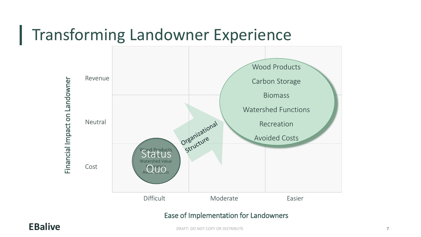## Transforming Landowner Experience



### Ease of Implementation for Landowners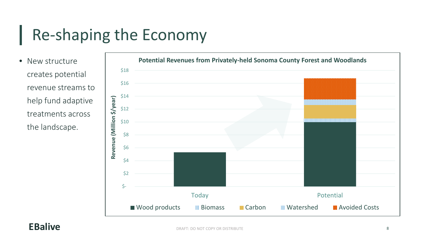# Re-shaping the Economy

• New structure creates potential revenue streams to help fund adaptive treatments across the landscape.

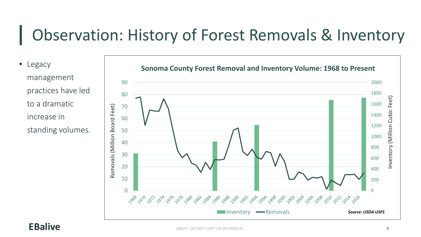## Observation: History of Forest Removals & Inventory

• Legacy management practices have led to a dramatic increase in standing volumes.

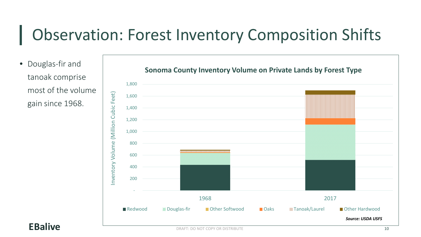## Observation: Forest Inventory Composition Shifts

• Douglas-fir and tanoak comprise most of the volume gain since 1968.

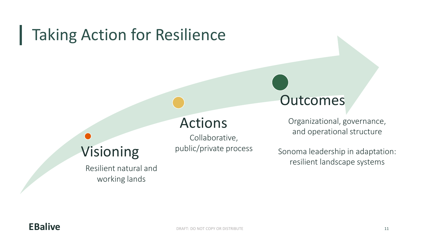## Taking Action for Resilience

## Actions

Collaborative,

public/private process

Visioning

Resilient natural and working lands

Organizational, governance, and operational structure

**Outcomes** 

Sonoma leadership in adaptation: resilient landscape systems